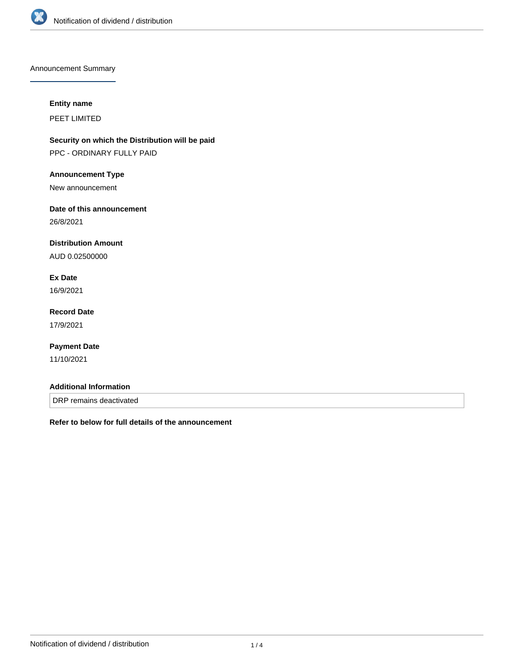

Announcement Summary

#### **Entity name**

PEET LIMITED

**Security on which the Distribution will be paid** PPC - ORDINARY FULLY PAID

#### **Announcement Type**

New announcement

### **Date of this announcement**

26/8/2021

### **Distribution Amount**

AUD 0.02500000

# **Ex Date**

16/9/2021

# **Record Date**

17/9/2021

### **Payment Date**

11/10/2021

#### **Additional Information**

DRP remains deactivated

**Refer to below for full details of the announcement**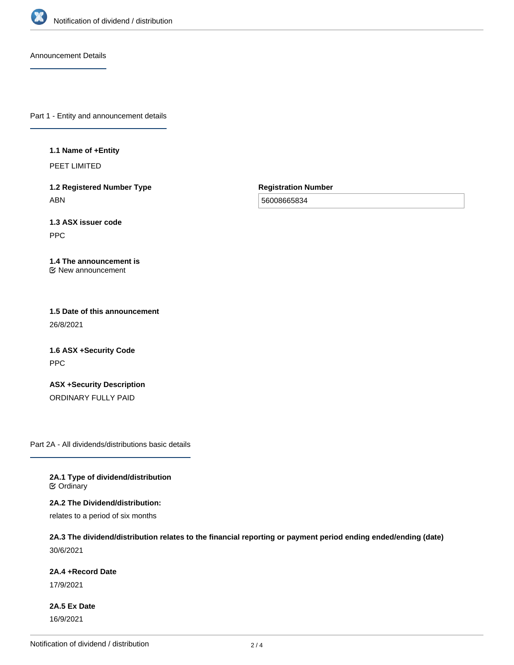

Announcement Details

Part 1 - Entity and announcement details

**1.1 Name of +Entity**

PEET LIMITED

**1.2 Registered Number Type** ABN

**Registration Number**

56008665834

**1.3 ASX issuer code** PPC

**1.4 The announcement is** New announcement

**1.5 Date of this announcement** 26/8/2021

**1.6 ASX +Security Code** PPC

**ASX +Security Description** ORDINARY FULLY PAID

Part 2A - All dividends/distributions basic details

**2A.1 Type of dividend/distribution C** Ordinary

**2A.2 The Dividend/distribution:**

relates to a period of six months

**2A.3 The dividend/distribution relates to the financial reporting or payment period ending ended/ending (date)** 30/6/2021

**2A.4 +Record Date**

17/9/2021

**2A.5 Ex Date** 16/9/2021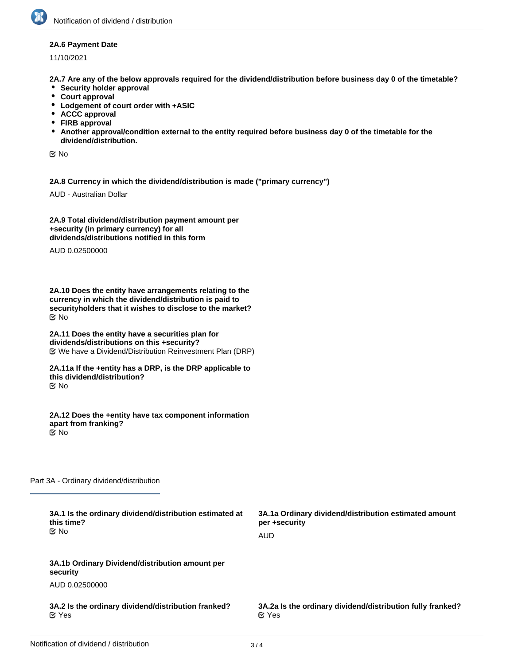#### **2A.6 Payment Date**

11/10/2021

**2A.7 Are any of the below approvals required for the dividend/distribution before business day 0 of the timetable?**

- **•** Security holder approval
- **Court approval**
- **Lodgement of court order with +ASIC**
- **ACCC approval**
- **FIRB approval**
- **Another approval/condition external to the entity required before business day 0 of the timetable for the dividend/distribution.**

No

**2A.8 Currency in which the dividend/distribution is made ("primary currency")**

AUD - Australian Dollar

**2A.9 Total dividend/distribution payment amount per +security (in primary currency) for all dividends/distributions notified in this form**

AUD 0.02500000

**2A.10 Does the entity have arrangements relating to the currency in which the dividend/distribution is paid to securityholders that it wishes to disclose to the market?** No

**2A.11 Does the entity have a securities plan for dividends/distributions on this +security?** We have a Dividend/Distribution Reinvestment Plan (DRP)

**2A.11a If the +entity has a DRP, is the DRP applicable to this dividend/distribution?** No

**2A.12 Does the +entity have tax component information apart from franking?** No

Part 3A - Ordinary dividend/distribution

| 3A.1 Is the ordinary dividend/distribution estimated at<br>this time?<br>় No | 3A.1a Ordinary dividend/distribution estimated amount<br>per +security<br><b>AUD</b> |
|-------------------------------------------------------------------------------|--------------------------------------------------------------------------------------|
| 3A.1b Ordinary Dividend/distribution amount per<br>security                   |                                                                                      |
| AUD 0.02500000                                                                |                                                                                      |
| 3A.2 Is the ordinary dividend/distribution franked?<br>$\alpha$ Yes           | 3A.2a Is the ordinary dividend/distribution fully franked?<br>$\alpha$ Yes           |